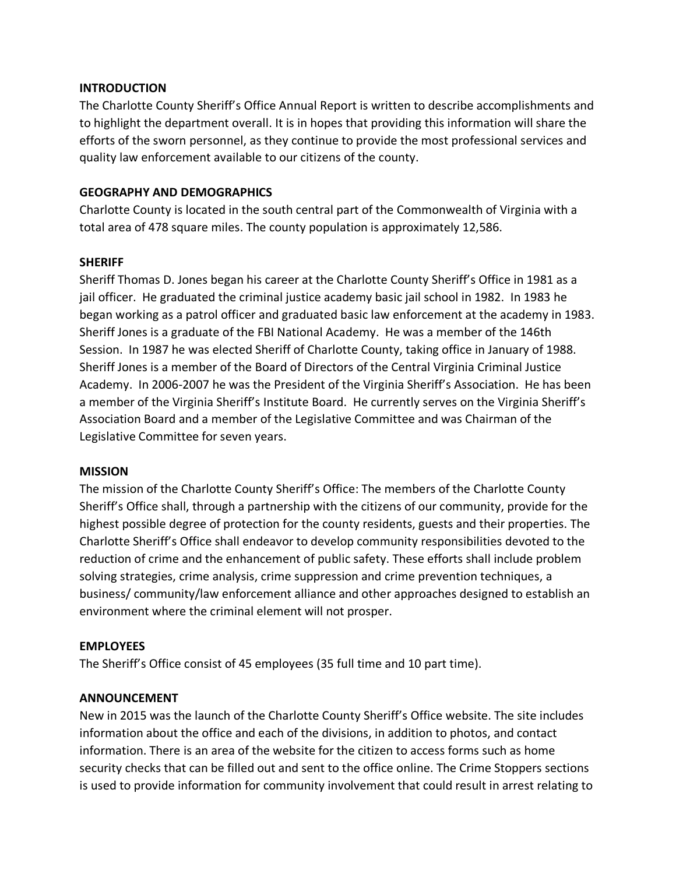### **INTRODUCTION**

The Charlotte County Sheriff's Office Annual Report is written to describe accomplishments and to highlight the department overall. It is in hopes that providing this information will share the efforts of the sworn personnel, as they continue to provide the most professional services and quality law enforcement available to our citizens of the county.

## **GEOGRAPHY AND DEMOGRAPHICS**

Charlotte County is located in the south central part of the Commonwealth of Virginia with a total area of 478 square miles. The county population is approximately 12,586.

## **SHERIFF**

Sheriff Thomas D. Jones began his career at the Charlotte County Sheriff's Office in 1981 as a jail officer. He graduated the criminal justice academy basic jail school in 1982. In 1983 he began working as a patrol officer and graduated basic law enforcement at the academy in 1983. Sheriff Jones is a graduate of the FBI National Academy. He was a member of the 146th Session. In 1987 he was elected Sheriff of Charlotte County, taking office in January of 1988. Sheriff Jones is a member of the Board of Directors of the Central Virginia Criminal Justice Academy. In 2006-2007 he was the President of the Virginia Sheriff's Association. He has been a member of the Virginia Sheriff's Institute Board. He currently serves on the Virginia Sheriff's Association Board and a member of the Legislative Committee and was Chairman of the Legislative Committee for seven years.

### **MISSION**

The mission of the Charlotte County Sheriff's Office: The members of the Charlotte County Sheriff's Office shall, through a partnership with the citizens of our community, provide for the highest possible degree of protection for the county residents, guests and their properties. The Charlotte Sheriff's Office shall endeavor to develop community responsibilities devoted to the reduction of crime and the enhancement of public safety. These efforts shall include problem solving strategies, crime analysis, crime suppression and crime prevention techniques, a business/ community/law enforcement alliance and other approaches designed to establish an environment where the criminal element will not prosper.

# **EMPLOYEES**

The Sheriff's Office consist of 45 employees (35 full time and 10 part time).

### **ANNOUNCEMENT**

New in 2015 was the launch of the Charlotte County Sheriff's Office website. The site includes information about the office and each of the divisions, in addition to photos, and contact information. There is an area of the website for the citizen to access forms such as home security checks that can be filled out and sent to the office online. The Crime Stoppers sections is used to provide information for community involvement that could result in arrest relating to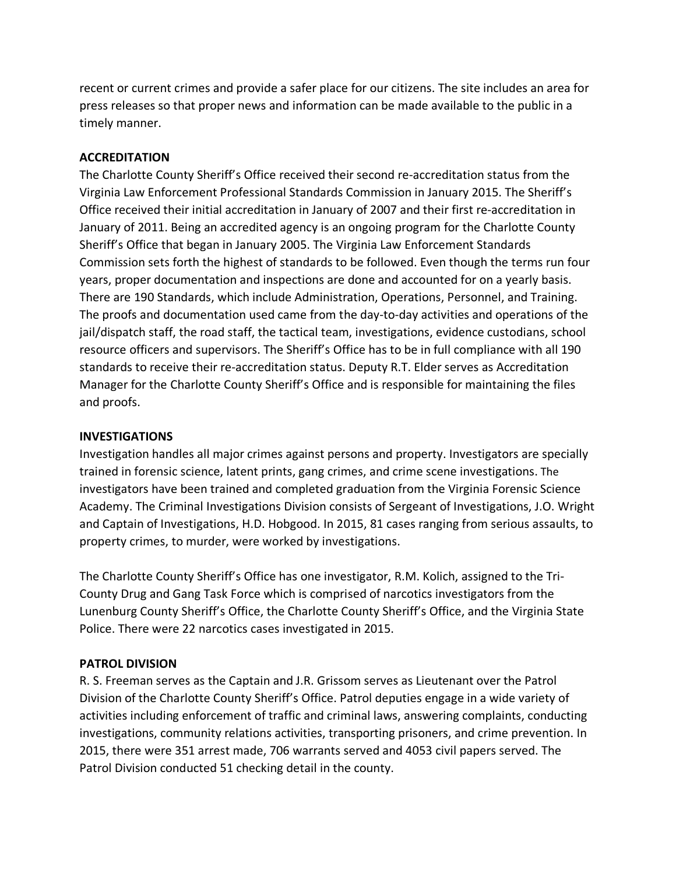recent or current crimes and provide a safer place for our citizens. The site includes an area for press releases so that proper news and information can be made available to the public in a timely manner.

## **ACCREDITATION**

The Charlotte County Sheriff's Office received their second re-accreditation status from the Virginia Law Enforcement Professional Standards Commission in January 2015. The Sheriff's Office received their initial accreditation in January of 2007 and their first re-accreditation in January of 2011. Being an accredited agency is an ongoing program for the Charlotte County Sheriff's Office that began in January 2005. The Virginia Law Enforcement Standards Commission sets forth the highest of standards to be followed. Even though the terms run four years, proper documentation and inspections are done and accounted for on a yearly basis. There are 190 Standards, which include Administration, Operations, Personnel, and Training. The proofs and documentation used came from the day-to-day activities and operations of the jail/dispatch staff, the road staff, the tactical team, investigations, evidence custodians, school resource officers and supervisors. The Sheriff's Office has to be in full compliance with all 190 standards to receive their re-accreditation status. Deputy R.T. Elder serves as Accreditation Manager for the Charlotte County Sheriff's Office and is responsible for maintaining the files and proofs.

## **INVESTIGATIONS**

Investigation handles all major crimes against persons and property. Investigators are specially trained in forensic science, latent prints, gang crimes, and crime scene investigations. The investigators have been trained and completed graduation from the Virginia Forensic Science Academy. The Criminal Investigations Division consists of Sergeant of Investigations, J.O. Wright and Captain of Investigations, H.D. Hobgood. In 2015, 81 cases ranging from serious assaults, to property crimes, to murder, were worked by investigations.

The Charlotte County Sheriff's Office has one investigator, R.M. Kolich, assigned to the Tri-County Drug and Gang Task Force which is comprised of narcotics investigators from the Lunenburg County Sheriff's Office, the Charlotte County Sheriff's Office, and the Virginia State Police. There were 22 narcotics cases investigated in 2015.

# **PATROL DIVISION**

R. S. Freeman serves as the Captain and J.R. Grissom serves as Lieutenant over the Patrol Division of the Charlotte County Sheriff's Office. Patrol deputies engage in a wide variety of activities including enforcement of traffic and criminal laws, answering complaints, conducting investigations, community relations activities, transporting prisoners, and crime prevention. In 2015, there were 351 arrest made, 706 warrants served and 4053 civil papers served. The Patrol Division conducted 51 checking detail in the county.